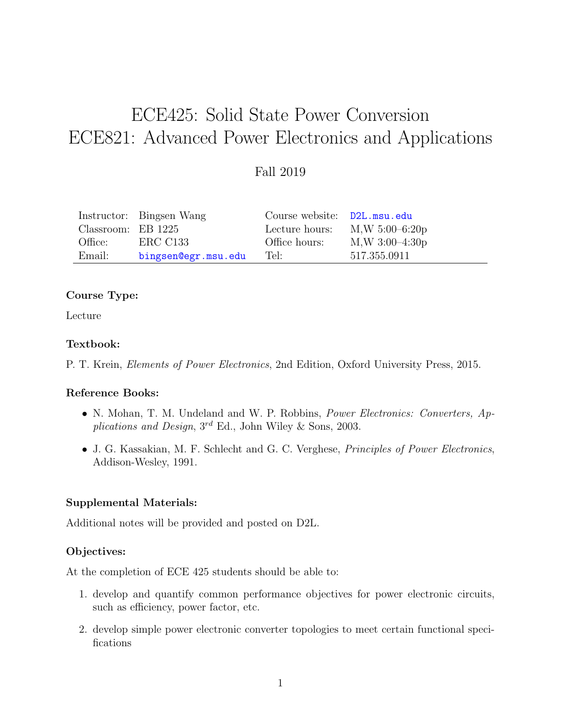# ECE425: Solid State Power Conversion ECE821: Advanced Power Electronics and Applications

# Fall 2019

|                    | Instructor: Bingsen Wang | Course website: D2L.msu.edu |                                 |
|--------------------|--------------------------|-----------------------------|---------------------------------|
| Classroom: EB 1225 |                          |                             | Lecture hours: $M,W 5:00-6:20p$ |
| Office:            | ERC C133                 | Office hours:               | $M,W$ 3:00-4:30 $p$             |
| Email:             | bingsen@egr.msu.edu      | Tel:                        | 517.355.0911                    |

### Course Type:

Lecture

#### Textbook:

P. T. Krein, Elements of Power Electronics, 2nd Edition, Oxford University Press, 2015.

#### Reference Books:

- N. Mohan, T. M. Undeland and W. P. Robbins, Power Electronics: Converters, Applications and Design, 3<sup>rd</sup> Ed., John Wiley & Sons, 2003.
- J. G. Kassakian, M. F. Schlecht and G. C. Verghese, Principles of Power Electronics, Addison-Wesley, 1991.

#### Supplemental Materials:

Additional notes will be provided and posted on D2L.

# Objectives:

At the completion of ECE 425 students should be able to:

- 1. develop and quantify common performance objectives for power electronic circuits, such as efficiency, power factor, etc.
- 2. develop simple power electronic converter topologies to meet certain functional specifications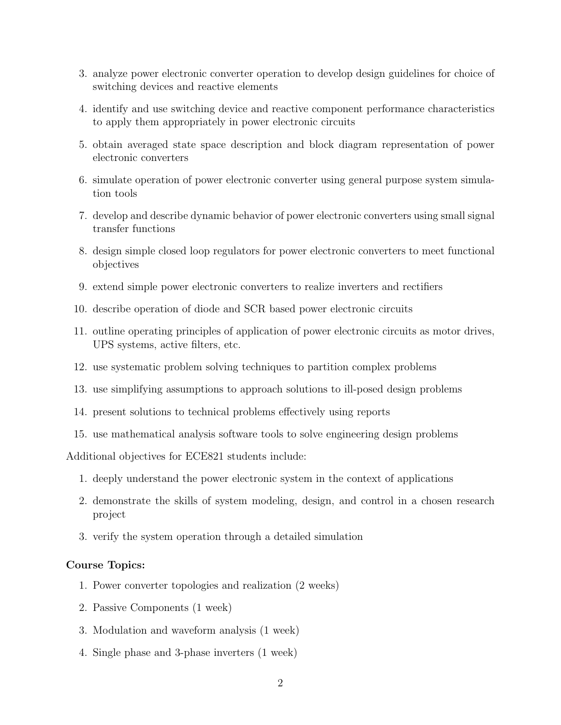- 3. analyze power electronic converter operation to develop design guidelines for choice of switching devices and reactive elements
- 4. identify and use switching device and reactive component performance characteristics to apply them appropriately in power electronic circuits
- 5. obtain averaged state space description and block diagram representation of power electronic converters
- 6. simulate operation of power electronic converter using general purpose system simulation tools
- 7. develop and describe dynamic behavior of power electronic converters using small signal transfer functions
- 8. design simple closed loop regulators for power electronic converters to meet functional objectives
- 9. extend simple power electronic converters to realize inverters and rectifiers
- 10. describe operation of diode and SCR based power electronic circuits
- 11. outline operating principles of application of power electronic circuits as motor drives, UPS systems, active filters, etc.
- 12. use systematic problem solving techniques to partition complex problems
- 13. use simplifying assumptions to approach solutions to ill-posed design problems
- 14. present solutions to technical problems effectively using reports
- 15. use mathematical analysis software tools to solve engineering design problems

Additional objectives for ECE821 students include:

- 1. deeply understand the power electronic system in the context of applications
- 2. demonstrate the skills of system modeling, design, and control in a chosen research project
- 3. verify the system operation through a detailed simulation

#### Course Topics:

- 1. Power converter topologies and realization (2 weeks)
- 2. Passive Components (1 week)
- 3. Modulation and waveform analysis (1 week)
- 4. Single phase and 3-phase inverters (1 week)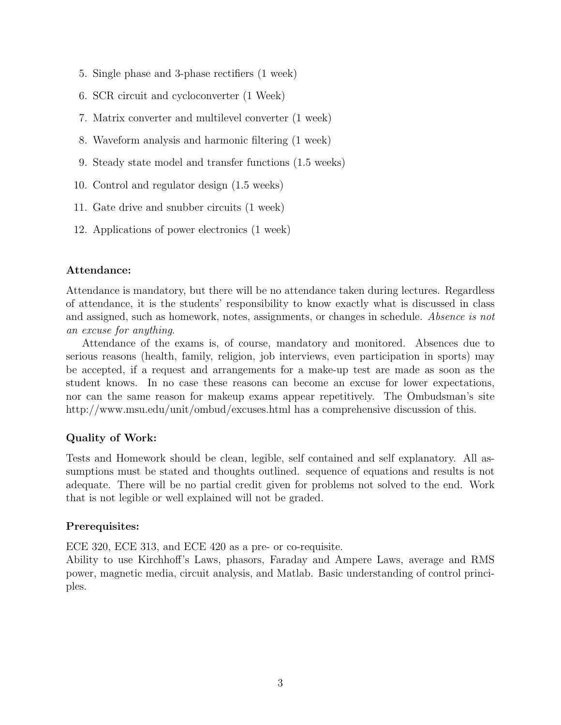- 5. Single phase and 3-phase rectifiers (1 week)
- 6. SCR circuit and cycloconverter (1 Week)
- 7. Matrix converter and multilevel converter (1 week)
- 8. Waveform analysis and harmonic filtering (1 week)
- 9. Steady state model and transfer functions (1.5 weeks)
- 10. Control and regulator design (1.5 weeks)
- 11. Gate drive and snubber circuits (1 week)
- 12. Applications of power electronics (1 week)

#### Attendance:

Attendance is mandatory, but there will be no attendance taken during lectures. Regardless of attendance, it is the students' responsibility to know exactly what is discussed in class and assigned, such as homework, notes, assignments, or changes in schedule. Absence is not an excuse for anything.

Attendance of the exams is, of course, mandatory and monitored. Absences due to serious reasons (health, family, religion, job interviews, even participation in sports) may be accepted, if a request and arrangements for a make-up test are made as soon as the student knows. In no case these reasons can become an excuse for lower expectations, nor can the same reason for makeup exams appear repetitively. The Ombudsman's site http://www.msu.edu/unit/ombud/excuses.html has a comprehensive discussion of this.

# Quality of Work:

Tests and Homework should be clean, legible, self contained and self explanatory. All assumptions must be stated and thoughts outlined. sequence of equations and results is not adequate. There will be no partial credit given for problems not solved to the end. Work that is not legible or well explained will not be graded.

#### Prerequisites:

ECE 320, ECE 313, and ECE 420 as a pre- or co-requisite.

Ability to use Kirchhoff's Laws, phasors, Faraday and Ampere Laws, average and RMS power, magnetic media, circuit analysis, and Matlab. Basic understanding of control principles.